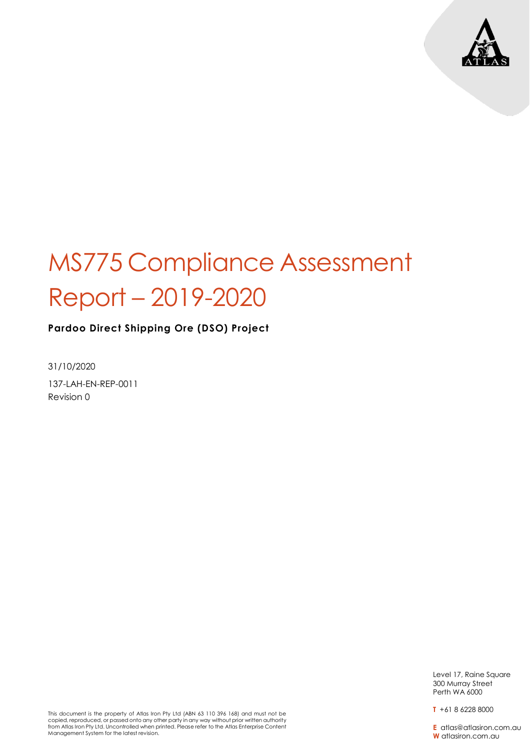

**Pardoo Direct Shipping Ore (DSO) Project**

31/10/2020 137-LAH-EN-REP-0011 Revision 0

> Level 17, Raine Square 300 Murray Street Perth WA 6000

**T** +61 8 6228 8000

**E** atlas@atlasiron.com.au **W** atlasiron.com.au

This document is the property of Atlas Iron Pty Ltd (ABN 63 110 396 168) and must not be copied, reproduced, or passed onto any other party in any way without prior written authority from Atlas Iron Pty Ltd. Uncontrolled when printed. Please refer to the Atlas Enterprise Content Management System for the latest revision.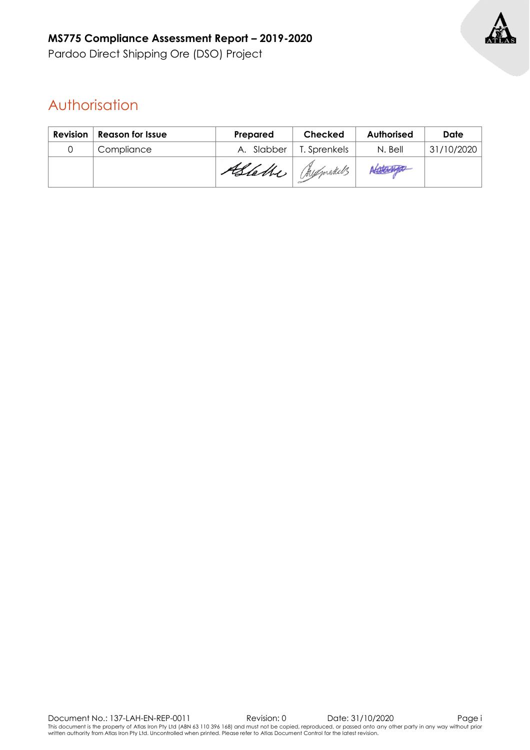

### Authorisation

| <b>Revision</b> | <b>Reason for Issue</b> | Prepared          | Checked      | Authorised | Date       |
|-----------------|-------------------------|-------------------|--------------|------------|------------|
|                 | Compliance              | A. Slabber        | T. Sprenkels | N. Bell    | 31/10/2020 |
|                 |                         | Astalle Mysmakels |              | Afglanto   |            |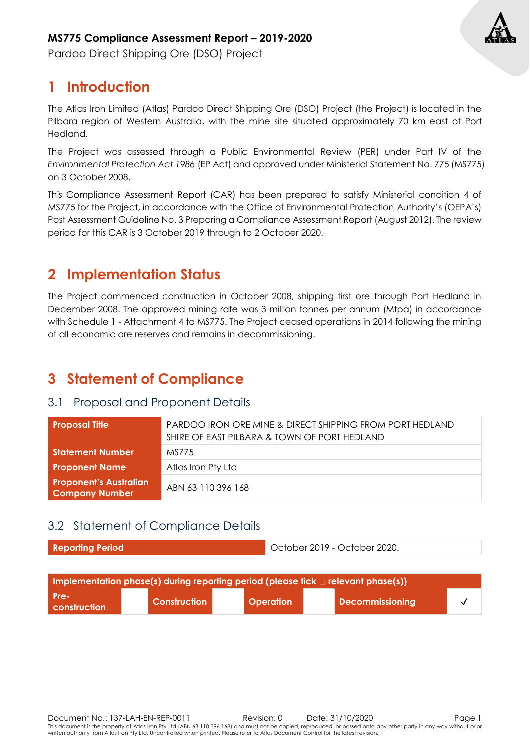

Pardoo Direct Shipping Ore (DSO) Project

### **1 Introduction**

The Atlas Iron Limited (Atlas) Pardoo Direct Shipping Ore (DSO) Project (the Project) is located in the Pilbara region of Western Australia, with the mine site situated approximately 70 km east of Port Hedland.

The Project was assessed through a Public Environmental Review (PER) under Part IV of the *Environmental Protection Act 1986* (EP Act) and approved under Ministerial Statement No. 775 (MS775) on 3 October 2008.

This Compliance Assessment Report (CAR) has been prepared to satisfy Ministerial condition 4 of MS775 for the Project, in accordance with the Office of Environmental Protection Authority's (OEPA's) Post Assessment Guideline No. 3 Preparing a Compliance Assessment Report (August 2012). The review period for this CAR is 3 October 2019 through to 2 October 2020.

### **2 Implementation Status**

The Project commenced construction in October 2008, shipping first ore through Port Hedland in December 2008. The approved mining rate was 3 million tonnes per annum (Mtpa) in accordance with Schedule 1 - Attachment 4 to MS775. The Project ceased operations in 2014 following the mining of all economic ore reserves and remains in decommissioning.

### **3 Statement of Compliance**

#### 3.1 Proposal and Proponent Details

| <b>Proposal Title</b>                           | PARDOO IRON ORE MINE & DIRECT SHIPPING FROM PORT HEDLAND<br>SHIRE OF EAST PILBARA & TOWN OF PORT HEDLAND |
|-------------------------------------------------|----------------------------------------------------------------------------------------------------------|
| <b>Statement Number</b>                         | MS775                                                                                                    |
| <b>Proponent Name</b>                           | Atlas Iron Pty Ltd                                                                                       |
| <b>Proponent's Australian</b><br>Company Number | ABN 63 110 396 168                                                                                       |

#### 3.2 Statement of Compliance Details

| <b>Reporting Period</b> | October 2019 - October 2020. |
|-------------------------|------------------------------|
|                         |                              |

| Implementation phase(s) during reporting period (please tick $\square$ relevant phase(s)) |                |                  |  |                        |  |  |  |
|-------------------------------------------------------------------------------------------|----------------|------------------|--|------------------------|--|--|--|
| l Pre-<br><b>construction</b>                                                             | l Construction | <b>Operation</b> |  | <b>Decommissioning</b> |  |  |  |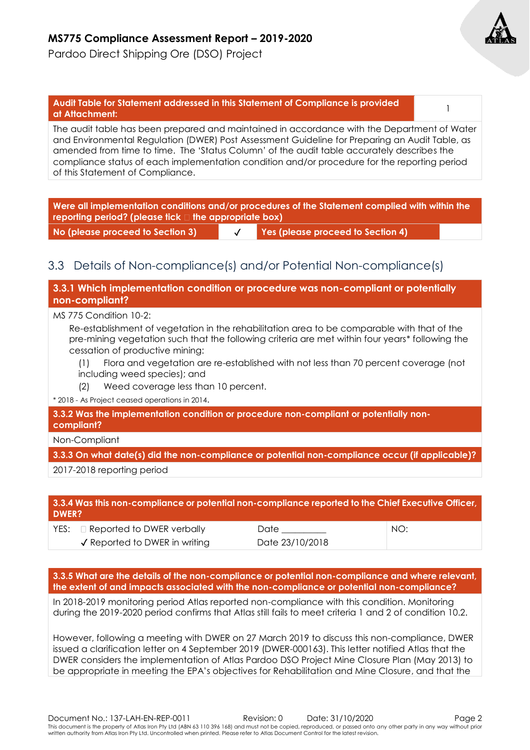Pardoo Direct Shipping Ore (DSO) Project



## **Audit Table for Statement addressed in this Statement of Compliance is provided at Attachment:** <sup>1</sup>

The audit table has been prepared and maintained in accordance with the Department of Water and Environmental Regulation (DWER) Post Assessment Guideline for Preparing an Audit Table, as amended from time to time. The 'Status Column' of the audit table accurately describes the compliance status of each implementation condition and/or procedure for the reporting period of this Statement of Compliance.

**Were all implementation conditions and/or procedures of the Statement complied with within the reporting period? (please tick the appropriate box)**

**No (please proceed to Section 3)** ✓ **Yes (please proceed to Section 4)**

#### 3.3 Details of Non-compliance(s) and/or Potential Non-compliance(s)

**3.3.1 Which implementation condition or procedure was non-compliant or potentially non-compliant?**

MS 775 Condition 10-2:

Re-establishment of vegetation in the rehabilitation area to be comparable with that of the pre-mining vegetation such that the following criteria are met within four years\* following the cessation of productive mining:

- (1) Flora and vegetation are re-established with not less than 70 percent coverage (not including weed species); and
- (2) Weed coverage less than 10 percent.
- \* 2018 As Project ceased operations in 2014.

**3.3.2 Was the implementation condition or procedure non-compliant or potentially noncompliant?**

Non-Compliant

**3.3.3 On what date(s) did the non-compliance or potential non-compliance occur (if applicable)?**

2017-2018 reporting period

#### **3.3.4 Was this non-compliance or potential non-compliance reported to the Chief Executive Officer, DWER?**

| $YES: \Box$ Reported to DWER verbally    | Date            | NO: |
|------------------------------------------|-----------------|-----|
| $\checkmark$ Reported to DWER in writing | Date 23/10/2018 |     |

**3.3.5 What are the details of the non-compliance or potential non-compliance and where relevant, the extent of and impacts associated with the non-compliance or potential non-compliance?**

In 2018-2019 monitoring period Atlas reported non-compliance with this condition. Monitoring during the 2019-2020 period confirms that Atlas still fails to meet criteria 1 and 2 of condition 10.2.

However, following a meeting with DWER on 27 March 2019 to discuss this non-compliance, DWER issued a clarification letter on 4 September 2019 (DWER-000163). This letter notified Atlas that the DWER considers the implementation of Atlas Pardoo DSO Project Mine Closure Plan (May 2013) to be appropriate in meeting the EPA's objectives for Rehabilitation and Mine Closure, and that the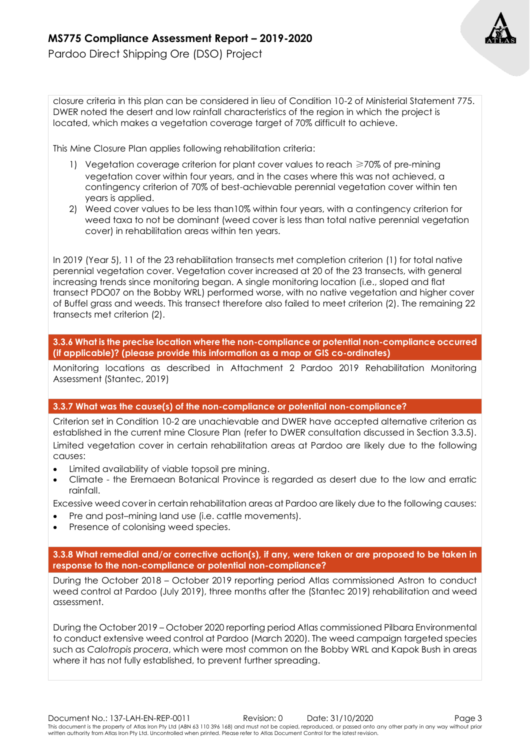Pardoo Direct Shipping Ore (DSO) Project

closure criteria in this plan can be considered in lieu of Condition 10-2 of Ministerial Statement 775. DWER noted the desert and low rainfall characteristics of the region in which the project is located, which makes a vegetation coverage target of 70% difficult to achieve.

This Mine Closure Plan applies following rehabilitation criteria:

- 1) Vegetation coverage criterion for plant cover values to reach ≥70% of pre-mining vegetation cover within four years, and in the cases where this was not achieved, a contingency criterion of 70% of best-achievable perennial vegetation cover within ten years is applied.
- 2) Weed cover values to be less than10% within four years, with a contingency criterion for weed taxa to not be dominant (weed cover is less than total native perennial vegetation cover) in rehabilitation areas within ten years.

In 2019 (Year 5), 11 of the 23 rehabilitation transects met completion criterion (1) for total native perennial vegetation cover. Vegetation cover increased at 20 of the 23 transects, with general increasing trends since monitoring began. A single monitoring location (i.e., sloped and flat transect PDO07 on the Bobby WRL) performed worse, with no native vegetation and higher cover of Buffel grass and weeds. This transect therefore also failed to meet criterion (2). The remaining 22 transects met criterion (2).

**3.3.6 What is the precise location where the non-compliance or potential non-compliance occurred (if applicable)? (please provide this information as a map or GIS co-ordinates)**

Monitoring locations as described in Attachment 2 Pardoo 2019 Rehabilitation Monitoring Assessment (Stantec, 2019)

#### **3.3.7 What was the cause(s) of the non-compliance or potential non-compliance?**

Criterion set in Condition 10-2 are unachievable and DWER have accepted alternative criterion as established in the current mine Closure Plan (refer to DWER consultation discussed in Section 3.3.5). Limited vegetation cover in certain rehabilitation areas at Pardoo are likely due to the following causes:

- Limited availability of viable topsoil pre mining.
- Climate the Eremaean Botanical Province is regarded as desert due to the low and erratic rainfall.

Excessive weed cover in certain rehabilitation areas at Pardoo are likely due to the following causes:

- Pre and post-mining land use *li.e.* cattle movements).
- Presence of colonising weed species.

**3.3.8 What remedial and/or corrective action(s), if any, were taken or are proposed to be taken in response to the non-compliance or potential non-compliance?**

During the October 2018 – October 2019 reporting period Atlas commissioned Astron to conduct weed control at Pardoo (July 2019), three months after the (Stantec 2019) rehabilitation and weed assessment.

During the October 2019 – October 2020 reporting period Atlas commissioned Pilbara Environmental to conduct extensive weed control at Pardoo (March 2020). The weed campaign targeted species such as *Calotropis procera*, which were most common on the Bobby WRL and Kapok Bush in areas where it has not fully established, to prevent further spreading.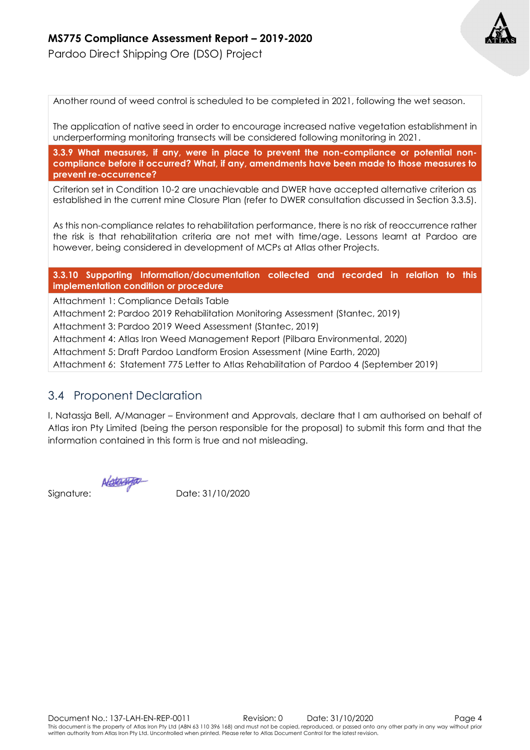

Pardoo Direct Shipping Ore (DSO) Project

Another round of weed control is scheduled to be completed in 2021, following the wet season.

The application of native seed in order to encourage increased native vegetation establishment in underperforming monitoring transects will be considered following monitoring in 2021.

**3.3.9 What measures, if any, were in place to prevent the non-compliance or potential noncompliance before it occurred? What, if any, amendments have been made to those measures to prevent re-occurrence?**

Criterion set in Condition 10-2 are unachievable and DWER have accepted alternative criterion as established in the current mine Closure Plan (refer to DWER consultation discussed in Section 3.3.5).

As this non-compliance relates to rehabilitation performance, there is no risk of reoccurrence rather the risk is that rehabilitation criteria are not met with time/age. Lessons learnt at Pardoo are however, being considered in development of MCPs at Atlas other Projects.

**3.3.10 Supporting Information/documentation collected and recorded in relation to this implementation condition or procedure**

Attachment 1: Compliance Details Table

Attachment 2: Pardoo 2019 Rehabilitation Monitoring Assessment (Stantec, 2019)

Attachment 3: Pardoo 2019 Weed Assessment (Stantec, 2019)

Attachment 4: Atlas Iron Weed Management Report (Pilbara Environmental, 2020)

Attachment 5: Draft Pardoo Landform Erosion Assessment (Mine Earth, 2020)

Attachment 6: Statement 775 Letter to Atlas Rehabilitation of Pardoo 4 (September 2019)

#### 3.4 Proponent Declaration

I, Natassja Bell, A/Manager – Environment and Approvals, declare that I am authorised on behalf of Atlas iron Pty Limited (being the person responsible for the proposal) to submit this form and that the information contained in this form is true and not misleading.

NOTO

Signature: Date: 31/10/2020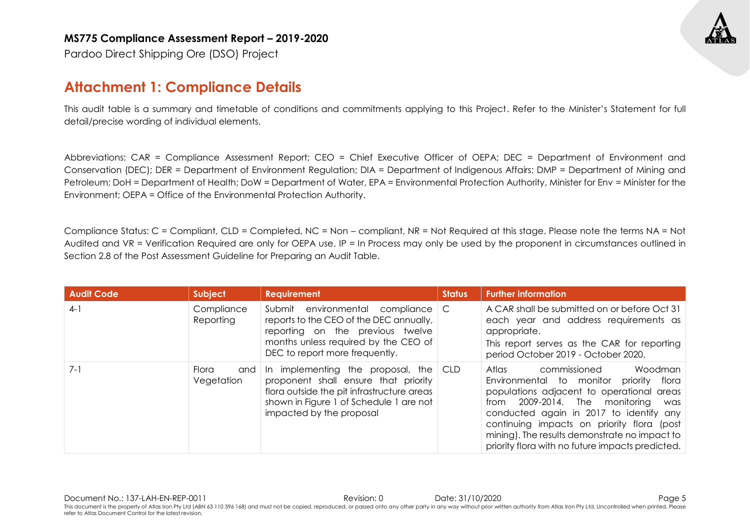Pardoo Direct Shipping Ore (DSO) Project

#### **Attachment 1: Compliance Details**

This audit table is a summary and timetable of conditions and commitments applying to this Project. Refer to the Minister's Statement for full detail/precise wording of individual elements.

Abbreviations: CAR = Compliance Assessment Report; CEO = Chief Executive Officer of OEPA; DEC = Department of Environment and Conservation (DEC); DER = Department of Environment Regulation; DIA = Department of Indigenous Affairs; DMP = Department of Mining and Petroleum; DoH = Department of Health; DoW = Department of Water, EPA = Environmental Protection Authority, Minister for Env = Minister for the Environment; OEPA = Office of the Environmental Protection Authority.

Compliance Status: C = Compliant, CLD = Completed, NC = Non – compliant, NR = Not Required at this stage. Please note the terms NA = Not Audited and VR = Verification Required are only for OEPA use. IP = In Process may only be used by the proponent in circumstances outlined in Section 2.8 of the Post Assessment Guideline for Preparing an Audit Table.

| <b>Audit Code</b> | Subject                    | <b>Requirement</b>                                                                                                                                                                                            | <b>Status</b> | <b>Further information</b>                                                                                                                                                                                                                                                                                                                                            |
|-------------------|----------------------------|---------------------------------------------------------------------------------------------------------------------------------------------------------------------------------------------------------------|---------------|-----------------------------------------------------------------------------------------------------------------------------------------------------------------------------------------------------------------------------------------------------------------------------------------------------------------------------------------------------------------------|
| $4-1$             | Compliance<br>Reporting    | Submit environmental compliance<br>reports to the CEO of the DEC annually,<br>reporting on the previous twelve<br>months unless required by the CEO of<br>DEC to report more frequently.                      | C             | A CAR shall be submitted on or before Oct 31<br>each year and address requirements as<br>appropriate.<br>This report serves as the CAR for reporting<br>period October 2019 - October 2020.                                                                                                                                                                           |
| $7 - 1$           | Flora<br>and<br>Vegetation | In implementing the proposal, the $\mathsf{CLD}$<br>proponent shall ensure that priority<br>flora outside the pit infrastructure areas<br>shown in Figure 1 of Schedule 1 are not<br>impacted by the proposal |               | commissioned<br>Woodman<br>Atlas<br>Environmental to monitor priority<br>flora<br>populations adjacent to operational areas<br>2009-2014. The monitoring<br>from<br>was<br>conducted again in 2017 to identify any<br>continuing impacts on priority flora (post<br>mining). The results demonstrate no impact to<br>priority flora with no future impacts predicted. |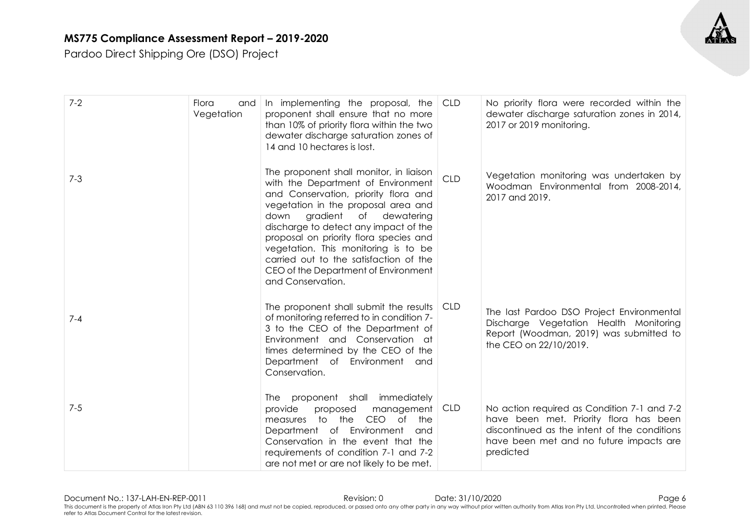

| $7 - 2$ | Flora<br>and<br>Vegetation | In implementing the proposal, the<br>proponent shall ensure that no more<br>than 10% of priority flora within the two<br>dewater discharge saturation zones of<br>14 and 10 hectares is lost.                                                                                                                                                                                                                                          | <b>CLD</b> | No priority flora were recorded within the<br>dewater discharge saturation zones in 2014,<br>2017 or 2019 monitoring.                                                                         |
|---------|----------------------------|----------------------------------------------------------------------------------------------------------------------------------------------------------------------------------------------------------------------------------------------------------------------------------------------------------------------------------------------------------------------------------------------------------------------------------------|------------|-----------------------------------------------------------------------------------------------------------------------------------------------------------------------------------------------|
| $7 - 3$ |                            | The proponent shall monitor, in liaison<br>with the Department of Environment<br>and Conservation, priority flora and<br>vegetation in the proposal area and<br>down<br>gradient<br>dewatering<br>of<br>discharge to detect any impact of the<br>proposal on priority flora species and<br>vegetation. This monitoring is to be<br>carried out to the satisfaction of the<br>CEO of the Department of Environment<br>and Conservation. | <b>CLD</b> | Vegetation monitoring was undertaken by<br>Woodman Environmental from 2008-2014,<br>2017 and 2019.                                                                                            |
| $7 - 4$ |                            | The proponent shall submit the results CLD<br>of monitoring referred to in condition 7-<br>3 to the CEO of the Department of<br>Environment and Conservation at<br>times determined by the CEO of the<br>Department of Environment and<br>Conservation.                                                                                                                                                                                |            | The last Pardoo DSO Project Environmental<br>Discharge Vegetation Health Monitoring<br>Report (Woodman, 2019) was submitted to<br>the CEO on 22/10/2019.                                      |
| $7 - 5$ |                            | proponent shall<br>immediately<br>The<br>management<br>provide<br>proposed<br>measures to the<br>CEO of<br>the<br>Department of Environment<br>and<br>Conservation in the event that the<br>requirements of condition 7-1 and 7-2<br>are not met or are not likely to be met.                                                                                                                                                          | CLD        | No action required as Condition 7-1 and 7-2<br>have been met. Priority flora has been<br>discontinued as the intent of the conditions<br>have been met and no future impacts are<br>predicted |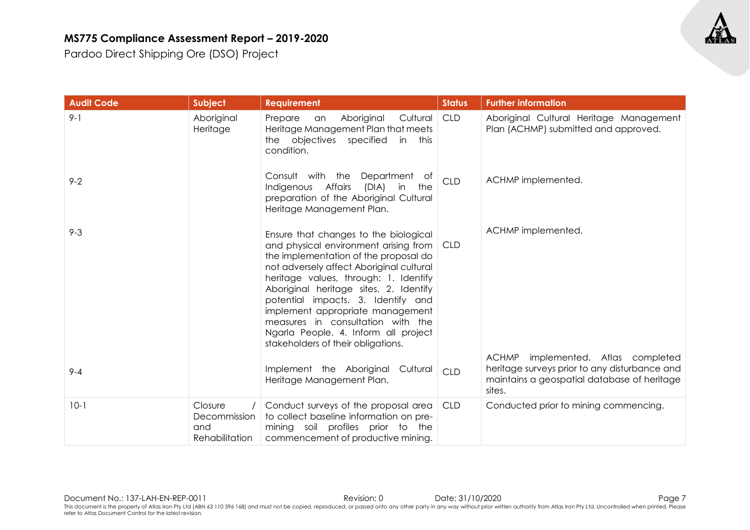| <b>Audit Code</b> | Subject                                          | <b>Requirement</b>                                                                                                                                                                                                                                                                                                                                                                                                                                        | <b>Status</b> | <b>Further information</b>                                                                                                                             |
|-------------------|--------------------------------------------------|-----------------------------------------------------------------------------------------------------------------------------------------------------------------------------------------------------------------------------------------------------------------------------------------------------------------------------------------------------------------------------------------------------------------------------------------------------------|---------------|--------------------------------------------------------------------------------------------------------------------------------------------------------|
| $9 - 1$           | Aboriginal<br>Heritage                           | Aboriginal<br>Cultural<br>Prepare<br>an<br>Heritage Management Plan that meets<br>the objectives specified<br>in this<br>condition.                                                                                                                                                                                                                                                                                                                       | <b>CLD</b>    | Aboriginal Cultural Heritage Management<br>Plan (ACHMP) submitted and approved.                                                                        |
| $9 - 2$           |                                                  | Consult with the<br>Department<br>of<br>Indigenous Affairs<br>(DIA)<br>the<br>in<br>preparation of the Aboriginal Cultural<br>Heritage Management Plan.                                                                                                                                                                                                                                                                                                   | <b>CLD</b>    | ACHMP implemented.                                                                                                                                     |
| $9 - 3$           |                                                  | Ensure that changes to the biological<br>and physical environment arising from   CLD<br>the implementation of the proposal do<br>not adversely affect Aboriginal cultural<br>heritage values, through: 1. Identify<br>Aboriginal heritage sites. 2. Identify<br>potential impacts. 3. Identify and<br>implement appropriate management<br>measures in consultation with the<br>Ngarla People. 4. Inform all project<br>stakeholders of their obligations. |               | ACHMP implemented.                                                                                                                                     |
| $9 - 4$           |                                                  | Implement the Aboriginal Cultural<br>Heritage Management Plan.                                                                                                                                                                                                                                                                                                                                                                                            | <b>CLD</b>    | <b>ACHMP</b><br>implemented. Atlas completed<br>heritage surveys prior to any disturbance and<br>maintains a geospatial database of heritage<br>sites. |
| $10-1$            | Closure<br>Decommission<br>and<br>Rehabilitation | Conduct surveys of the proposal area<br>to collect baseline information on pre-<br>mining soil profiles prior to the<br>commencement of productive mining.                                                                                                                                                                                                                                                                                                | <b>CLD</b>    | Conducted prior to mining commencing.                                                                                                                  |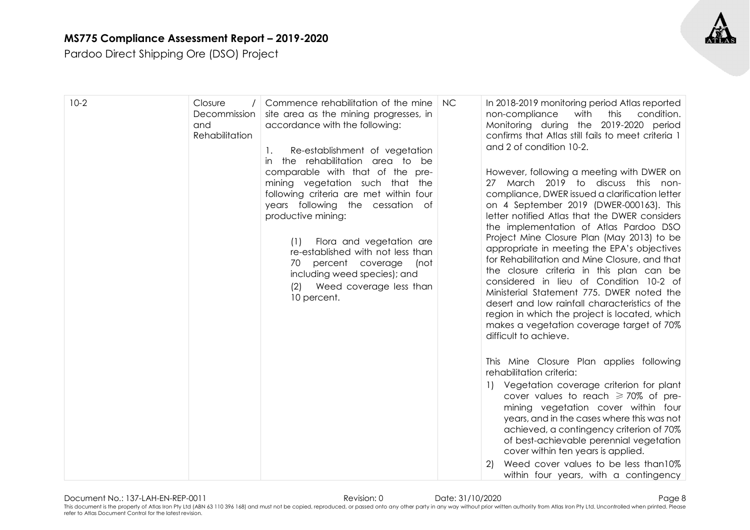

| $10-2$ | Closure<br>Decommission<br>and<br>Rehabilitation | Commence rehabilitation of the mine<br>site area as the mining progresses, in<br>accordance with the following:<br>Re-establishment of vegetation<br>1.<br>the rehabilitation area to be<br>$\mathsf{I}$<br>comparable with that of the pre-<br>mining vegetation such that the<br>following criteria are met within four<br>years following the cessation of<br>productive mining:<br>Flora and vegetation are<br>(1)<br>re-established with not less than<br>70<br>percent coverage<br>(not<br>including weed species); and<br>Weed coverage less than<br>(2)<br>10 percent. | <b>NC</b> | In 2018-2019 monitoring period Atlas reported<br>with<br>non-compliance<br>this<br>condition.<br>Monitoring during the 2019-2020 period<br>confirms that Atlas still fails to meet criteria 1<br>and 2 of condition 10-2.<br>However, following a meeting with DWER on<br>27 March 2019 to discuss this non-<br>compliance, DWER issued a clarification letter<br>on 4 September 2019 (DWER-000163). This<br>letter notified Atlas that the DWER considers<br>the implementation of Atlas Pardoo DSO<br>Project Mine Closure Plan (May 2013) to be<br>appropriate in meeting the EPA's objectives<br>for Rehabilitation and Mine Closure, and that<br>the closure criteria in this plan can be<br>considered in lieu of Condition 10-2 of<br>Ministerial Statement 775. DWER noted the<br>desert and low rainfall characteristics of the<br>region in which the project is located, which<br>makes a vegetation coverage target of 70%<br>difficult to achieve. |
|--------|--------------------------------------------------|--------------------------------------------------------------------------------------------------------------------------------------------------------------------------------------------------------------------------------------------------------------------------------------------------------------------------------------------------------------------------------------------------------------------------------------------------------------------------------------------------------------------------------------------------------------------------------|-----------|-----------------------------------------------------------------------------------------------------------------------------------------------------------------------------------------------------------------------------------------------------------------------------------------------------------------------------------------------------------------------------------------------------------------------------------------------------------------------------------------------------------------------------------------------------------------------------------------------------------------------------------------------------------------------------------------------------------------------------------------------------------------------------------------------------------------------------------------------------------------------------------------------------------------------------------------------------------------|
|        |                                                  |                                                                                                                                                                                                                                                                                                                                                                                                                                                                                                                                                                                |           | This Mine Closure Plan applies following<br>rehabilitation criteria:<br>Vegetation coverage criterion for plant<br>cover values to reach $\geq$ 70% of pre-<br>mining vegetation cover within four<br>years, and in the cases where this was not<br>achieved, a contingency criterion of 70%<br>of best-achievable perennial vegetation<br>cover within ten years is applied.<br>Weed cover values to be less than 10%<br>2)<br>within four years, with a contingency                                                                                                                                                                                                                                                                                                                                                                                                                                                                                           |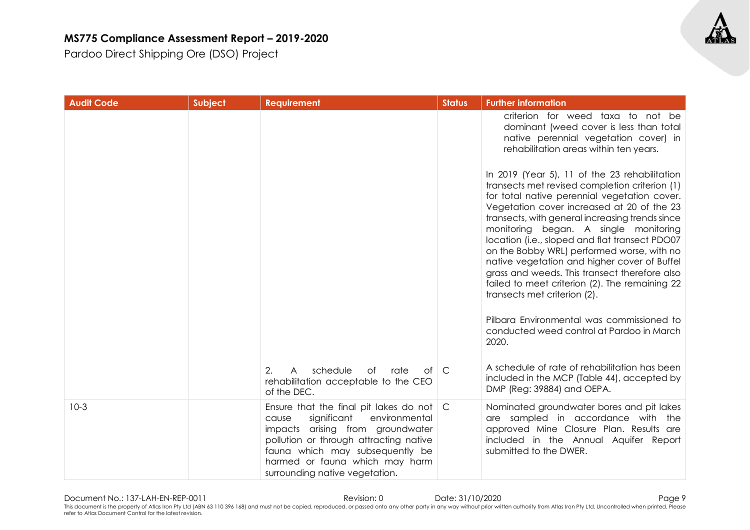Pardoo Direct Shipping Ore (DSO) Project

| <b>Audit Code</b> | Subject | <b>Requirement</b>                                                                                                                                                                                                                                                                | <b>Status</b> | <b>Further information</b>                                                                                                                                                                                                                                                                                                                                                                                                                                                                                                                                                                                                                                                      |
|-------------------|---------|-----------------------------------------------------------------------------------------------------------------------------------------------------------------------------------------------------------------------------------------------------------------------------------|---------------|---------------------------------------------------------------------------------------------------------------------------------------------------------------------------------------------------------------------------------------------------------------------------------------------------------------------------------------------------------------------------------------------------------------------------------------------------------------------------------------------------------------------------------------------------------------------------------------------------------------------------------------------------------------------------------|
|                   |         |                                                                                                                                                                                                                                                                                   |               | criterion for weed taxa to not be<br>dominant (weed cover is less than total<br>native perennial vegetation cover) in<br>rehabilitation areas within ten years.                                                                                                                                                                                                                                                                                                                                                                                                                                                                                                                 |
|                   |         |                                                                                                                                                                                                                                                                                   |               | In 2019 (Year 5), 11 of the 23 rehabilitation<br>transects met revised completion criterion (1)<br>for total native perennial vegetation cover.<br>Vegetation cover increased at 20 of the 23<br>transects, with general increasing trends since<br>monitoring began. A single monitoring<br>location (i.e., sloped and flat transect PDO07<br>on the Bobby WRL) performed worse, with no<br>native vegetation and higher cover of Buffel<br>grass and weeds. This transect therefore also<br>failed to meet criterion (2). The remaining 22<br>transects met criterion (2).<br>Pilbara Environmental was commissioned to<br>conducted weed control at Pardoo in March<br>2020. |
|                   |         |                                                                                                                                                                                                                                                                                   |               | A schedule of rate of rehabilitation has been                                                                                                                                                                                                                                                                                                                                                                                                                                                                                                                                                                                                                                   |
|                   |         | schedule<br>2.<br>$\mathsf{A}$<br>of<br>rate<br>of<br>rehabilitation acceptable to the CEO<br>of the DEC.                                                                                                                                                                         | $\mathsf{C}$  | included in the MCP (Table 44), accepted by<br>DMP (Reg: 39884) and OEPA.                                                                                                                                                                                                                                                                                                                                                                                                                                                                                                                                                                                                       |
| $10-3$            |         | Ensure that the final pit lakes do not $\mathcal C$<br>significant<br>environmental<br>cause<br>impacts arising from groundwater<br>pollution or through attracting native<br>fauna which may subsequently be<br>harmed or fauna which may harm<br>surrounding native vegetation. |               | Nominated groundwater bores and pit lakes<br>are sampled in accordance with the<br>approved Mine Closure Plan. Results are<br>included in the Annual Aquifer Report<br>submitted to the DWER.                                                                                                                                                                                                                                                                                                                                                                                                                                                                                   |

Document No.: 137-LAH-EN-REP-0011 Revision: 0 Date: 31/10/2020 Page 9 This document is the property of Atlas Iron Pty Ltd (ABN 63 110 396 168) and must not be copied, reproduced, or passed onto any other party in any way without prior written authority from Atlas Iron Pty Ltd. Uncontrolled w refer to Atlas Document Control for the latest revision.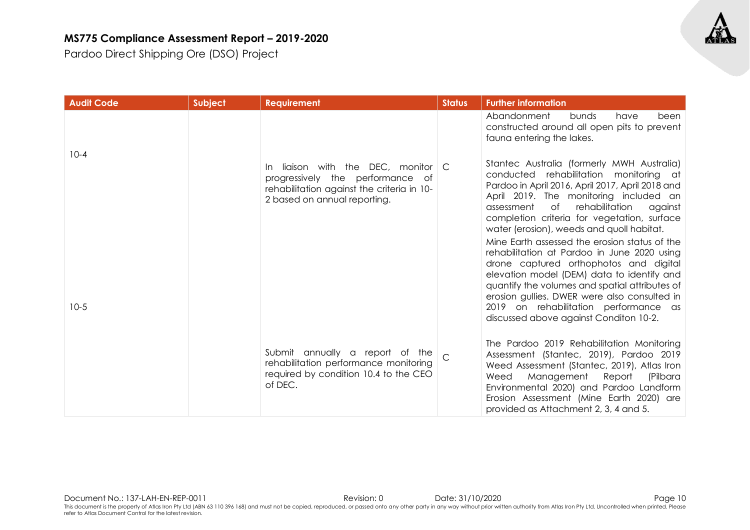

| <b>Audit Code</b> | Subject | <b>Requirement</b>                                                                                                                                                  | <b>Status</b> | <b>Further information</b>                                                                                                                                                                                                                                                                                                                                                                                                                                                                                                                                                                                                |
|-------------------|---------|---------------------------------------------------------------------------------------------------------------------------------------------------------------------|---------------|---------------------------------------------------------------------------------------------------------------------------------------------------------------------------------------------------------------------------------------------------------------------------------------------------------------------------------------------------------------------------------------------------------------------------------------------------------------------------------------------------------------------------------------------------------------------------------------------------------------------------|
|                   |         |                                                                                                                                                                     |               | Abandonment<br>been<br>bunds<br>have<br>constructed around all open pits to prevent<br>fauna entering the lakes.                                                                                                                                                                                                                                                                                                                                                                                                                                                                                                          |
| $10 - 4$          |         | liaison with the DEC, monitor $\mathcal C$<br>In.<br>progressively the performance of<br>rehabilitation against the criteria in 10-<br>2 based on annual reporting. |               | Stantec Australia (formerly MWH Australia)<br>conducted rehabilitation monitoring at<br>Pardoo in April 2016, April 2017, April 2018 and<br>April 2019. The monitoring included an<br>of<br>rehabilitation<br>assessment<br>against<br>completion criteria for vegetation, surface<br>water (erosion), weeds and quoll habitat.<br>Mine Earth assessed the erosion status of the<br>rehabilitation at Pardoo in June 2020 using<br>drone captured orthophotos and digital<br>elevation model (DEM) data to identify and<br>quantify the volumes and spatial attributes of<br>erosion gullies. DWER were also consulted in |
| $10-5$            |         |                                                                                                                                                                     |               | 2019 on rehabilitation performance as<br>discussed above against Conditon 10-2.                                                                                                                                                                                                                                                                                                                                                                                                                                                                                                                                           |
|                   |         | Submit annually a report of the<br>rehabilitation performance monitoring<br>required by condition 10.4 to the CEO<br>of DEC.                                        |               | The Pardoo 2019 Rehabilitation Monitoring<br>Assessment (Stantec, 2019), Pardoo 2019<br>Weed Assessment (Stantec, 2019), Atlas Iron<br>Weed<br>Management Report<br>(Pilbara<br>Environmental 2020) and Pardoo Landform<br>Erosion Assessment (Mine Earth 2020) are<br>provided as Attachment 2, 3, 4 and 5.                                                                                                                                                                                                                                                                                                              |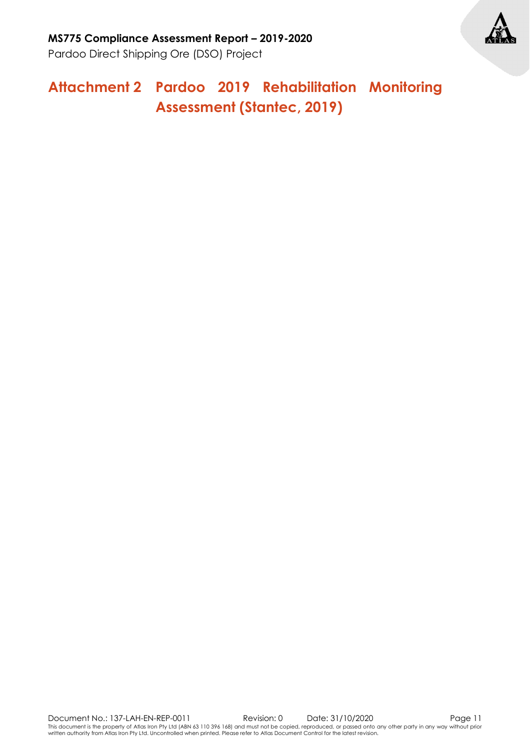

### **Attachment 2 Pardoo 2019 Rehabilitation Monitoring Assessment (Stantec, 2019)**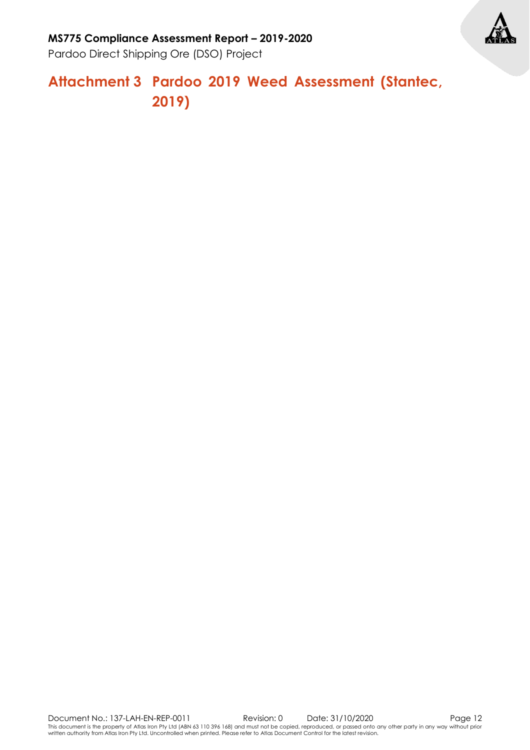

Pardoo Direct Shipping Ore (DSO) Project

### **Attachment 3 Pardoo 2019 Weed Assessment (Stantec, 2019)**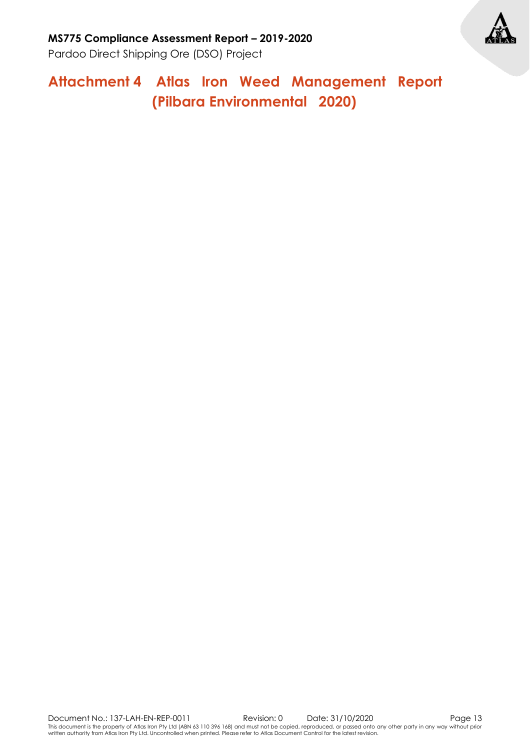**Attachment 4 Atlas Iron Weed Management Report (Pilbara Environmental 2020)**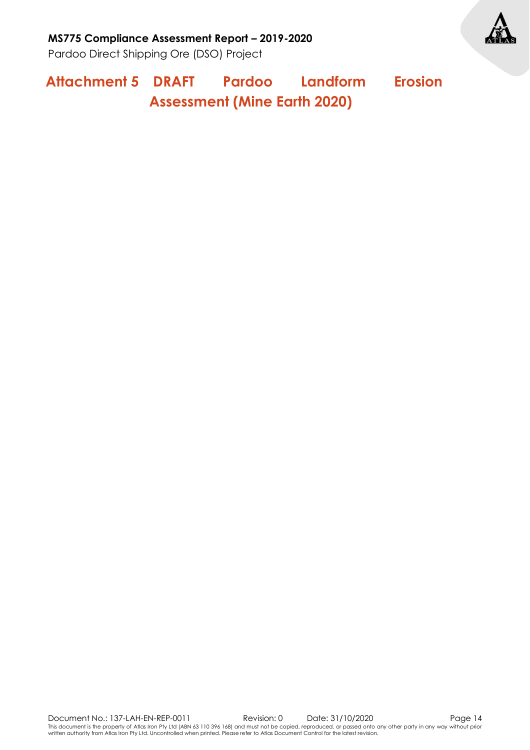

**Attachment 5 DRAFT Pardoo Landform Erosion Assessment (Mine Earth 2020)**